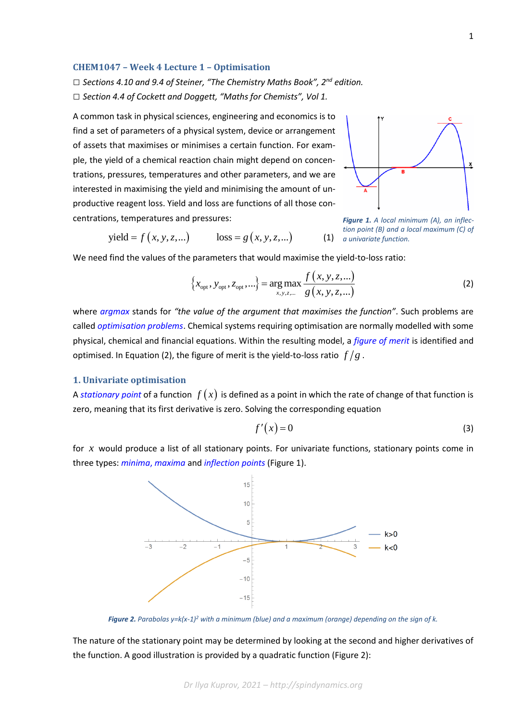## **CHEM1047 – Week 4 Lecture 1 – Optimisation**

*□ Sections 4.10 and 9.4 of Steiner, "The Chemistry Maths Book", 2nd edition. □ Section 4.4 of Cockett and Doggett, "Maths for Chemists", Vol 1.*

A common task in physical sciences, engineering and economics is to find a set of parameters of a physical system, device or arrangement of assets that maximises or minimises a certain function. For example, the yield of a chemical reaction chain might depend on concentrations, pressures, temperatures and other parameters, and we are interested in maximising the yield and minimising the amount of unproductive reagent loss. Yield and loss are functions of all those concentrations, temperatures and pressures:



 $yield = f(x, y, z,...)$   $loss = g(x, y, z,...)$  (1) *a univariate function. Figure 1. A local minimum (A), an inflection point (B) and a local maximum (C) of* 

We need find the values of the parameters that would maximise the yield-to-loss ratio:  
\n
$$
\left\{x_{\text{opt}}, y_{\text{opt}}, z_{\text{opt}}, ...\right\} = \arg \max_{x, y, z, ...} \frac{f(x, y, z, ...)}{g(x, y, z, ...)}
$$
\n(2)

where *[argmax](https://en.wikipedia.org/wiki/Arg_max)* stands for *"the value of the argument that maximises the function"*. Such problems are called *[optimisation problems](https://en.wikipedia.org/wiki/Optimization_problem)*. Chemical systems requiring optimisation are normally modelled with some physical, chemical and financial equations. Within the resulting model, a *[figure of merit](https://en.wikipedia.org/wiki/Figure_of_merit)* is identified and optimised. In Equation (2), the figure of merit is the yield-to-loss ratio  $\frac{f}{g}$  .

## **1. Univariate optimisation**

A [stationary point](https://en.wikipedia.org/wiki/Stationary_point) of a function  $\,f\,(x)\,$  is defined as a point in which the rate of change of that function is zero, meaning that its first derivative is zero. Solving the corresponding equation

$$
f'(x) = 0 \tag{3}
$$

for x would produce a list of all stationary points. For univariate functions, stationary points come in three types: *minima*, *[maxima](https://en.wikipedia.org/wiki/Maxima_and_minima)* and *[inflection points](https://en.wikipedia.org/wiki/Inflection_point)* (Figure 1).



*Figure 2. Parabolas y=k(x-1)<sup>2</sup> with a minimum (blue) and a maximum (orange) depending on the sign of k.*

The nature of the stationary point may be determined by looking at the second and higher derivatives of the function. A good illustration is provided by a quadratic function (Figure 2):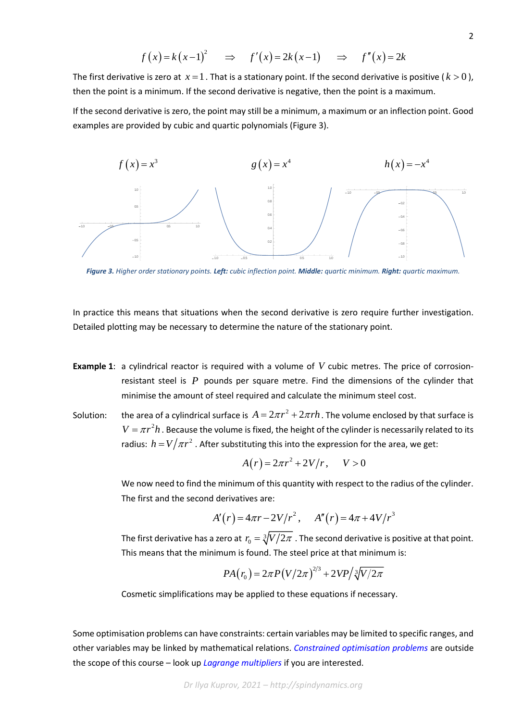$$
f(x) = k(x-1)^2
$$
  $\Rightarrow$   $f'(x) = 2k(x-1)$   $\Rightarrow$   $f''(x) = 2k$ 

The first derivative is zero at  $x = 1$  . That is a stationary point. If the second derivative is positive ( $k > 0$  ), then the point is a minimum. If the second derivative is negative, then the point is a maximum.

If the second derivative is zero, the point may still be a minimum, a maximum or an inflection point. Good examples are provided by cubic and quartic polynomials (Figure 3).



*Figure 3. Higher order stationary points. Left: cubic inflection point. Middle: quartic minimum. Right: quartic maximum.*

In practice this means that situations when the second derivative is zero require further investigation. Detailed plotting may be necessary to determine the nature of the stationary point.

- **Example 1**: a cylindrical reactor is required with a volume of *V* cubic metres. The price of corrosionresistant steel is  $P$  pounds per square metre. Find the dimensions of the cylinder that minimise the amount of steel required and calculate the minimum steel cost.
- Solution: the area of a cylindrical surface is  $A = 2\pi r^2 + 2\pi rh$  . The volume enclosed by that surface is  $V = \pi r^2 h$  . Because the volume is fixed, the height of the cylinder is necessarily related to its radius:  $h = V/\pi r^2$  . After substituting this into the expression for the area, we get:

$$
A(r) = 2\pi r^2 + 2V/r, \quad V > 0
$$

We now need to find the minimum of this quantity with respect to the radius of the cylinder. The first and the second derivatives are:

$$
A'(r) = 4\pi r - 2V/r^2, \quad A''(r) = 4\pi + 4V/r^3
$$

The first derivative has a zero at  $\,r_{_0} = \sqrt[3]{V/2\pi}\,$  . The second derivative is positive at that point. This means that the minimum is found. The steel price at that minimum is:

$$
PA(r_0) = 2\pi P(V/2\pi)^{2/3} + 2VP/\sqrt[3]{V/2\pi}
$$

Cosmetic simplifications may be applied to these equations if necessary.

Some optimisation problems can have constraints: certain variables may be limited to specific ranges, and other variables may be linked by mathematical relations. *[Constrained optimisation problems](https://en.wikipedia.org/wiki/Constrained_optimization)* are outside the scope of this course – look up *[Lagrange multipliers](https://en.wikipedia.org/wiki/Lagrange_multiplier)* if you are interested.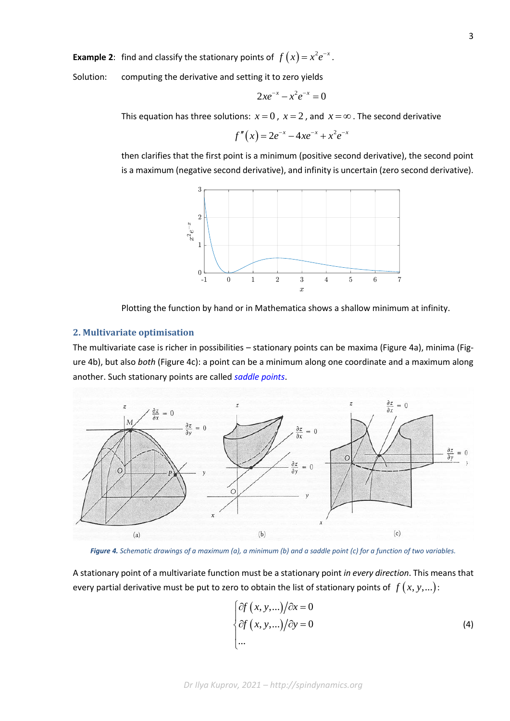**Example 2**: find and classify the stationary points of  $f(x) = x^2 e^{-x}$ .

Solution: computing the derivative and setting it to zero yields

$$
2xe^{-x} - x^2e^{-x} = 0
$$

This equation has three solutions:  $x=0$  ,  $x=2$  , and  $x=\infty$  . The second derivative

$$
f''(x) = 2e^{-x} - 4xe^{-x} + x^2e^{-x}
$$

then clarifies that the first point is a minimum (positive second derivative), the second point is a maximum (negative second derivative), and infinity is uncertain (zero second derivative).



Plotting the function by hand or in Mathematica shows a shallow minimum at infinity.

## **2. Multivariate optimisation**

The multivariate case is richer in possibilities – stationary points can be maxima (Figure 4a), minima (Figure 4b), but also *both* (Figure 4c): a point can be a minimum along one coordinate and a maximum along another. Such stationary points are called *saddle points*.





A stationary point of a multivariate function must be a stationary point *in every direction*. This means that every partial derivative must be put to zero to obtain the list of stationary points of  $f(x, y, ...)$  :

$$
\begin{cases} \frac{\partial f(x, y, \ldots)}{\partial x} = 0 \\ \frac{\partial f(x, y, \ldots)}{\partial y} = 0 \\ \ldots \end{cases}
$$
 (4)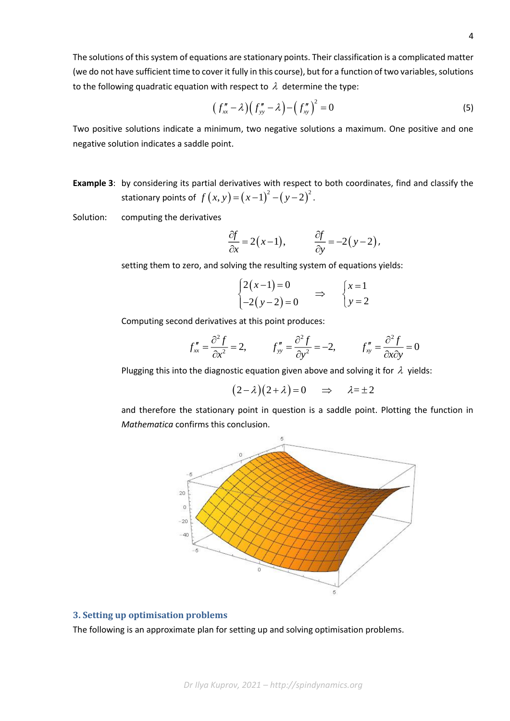The solutions of this system of equations are stationary points. Their classification is a complicated matter (we do not have sufficient time to cover it fully in this course), but for a function of two variables, solutions to the following quadratic equation with respect to  $\lambda$  determine the type:

$$
(f''_{xx} - \lambda)(f''_{yy} - \lambda) - (f''_{xy})^2 = 0
$$
 (5)

Two positive solutions indicate a minimum, two negative solutions a maximum. One positive and one negative solution indicates a saddle point.

**Example 3**: by considering its partial derivatives with respect to both coordinates, find and classify the stationary points of  $f(x, y) = (x-1)^2 - (y-2)^2$ .

Solution: computing the derivatives

$$
\frac{\partial f}{\partial x} = 2(x-1), \qquad \frac{\partial f}{\partial y} = -2(y-2),
$$

setting them to zero, and solving the resulting system of equations yields:

$$
\begin{cases} 2(x-1)=0 \\ -2(y-2)=0 \end{cases} \Rightarrow \begin{cases} x=1 \\ y=2 \end{cases}
$$

Computing second derivatives at this point produces:

$$
f''_{xx} = \frac{\partial^2 f}{\partial x^2} = 2, \qquad f''_{yy} = \frac{\partial^2 f}{\partial y^2} = -2, \qquad f''_{xy} = \frac{\partial^2 f}{\partial x \partial y} = 0
$$

Plugging this into the diagnostic equation given above and solving it for  $\lambda$  yields:

$$
(2 - \lambda)(2 + \lambda) = 0
$$
  $\Rightarrow$   $\lambda = \pm 2$ 

and therefore the stationary point in question is a saddle point. Plotting the function in *Mathematica* confirms this conclusion.



## **3. Setting up optimisation problems**

The following is an approximate plan for setting up and solving optimisation problems.